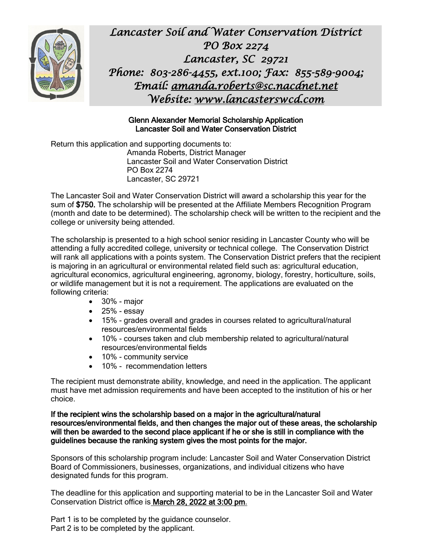

*Lancaster Soil and Water Conservation District PO Box 2274 Lancaster, SC 29721 Phone: 803-286-4455, ext.100; Fax: 855-589-9004; Email: [amanda.roberts@sc.nacdnet.net](mailto:amanda.roberts@sc.nacdnet.net)  Website: [www.lancasterswcd.com](http://www.lancasterswcd.com/)*

#### Glenn Alexander Memorial Scholarship Application Lancaster Soil and Water Conservation District

Return this application and supporting documents to: Amanda Roberts, District Manager Lancaster Soil and Water Conservation District PO Box 2274 Lancaster, SC 29721

The Lancaster Soil and Water Conservation District will award a scholarship this year for the sum of \$750. The scholarship will be presented at the Affiliate Members Recognition Program (month and date to be determined). The scholarship check will be written to the recipient and the college or university being attended.

The scholarship is presented to a high school senior residing in Lancaster County who will be attending a fully accredited college, university or technical college. The Conservation District will rank all applications with a points system. The Conservation District prefers that the recipient is majoring in an agricultural or environmental related field such as: agricultural education, agricultural economics, agricultural engineering, agronomy, biology, forestry, horticulture, soils, or wildlife management but it is not a requirement. The applications are evaluated on the following criteria:

- 30% major
- $\bullet$  25% essay
- 15% grades overall and grades in courses related to agricultural/natural resources/environmental fields
- 10% courses taken and club membership related to agricultural/natural resources/environmental fields
- 10% community service
- 10% recommendation letters

The recipient must demonstrate ability, knowledge, and need in the application. The applicant must have met admission requirements and have been accepted to the institution of his or her choice.

If the recipient wins the scholarship based on a major in the agricultural/natural resources/environmental fields, and then changes the major out of these areas, the scholarship will then be awarded to the second place applicant if he or she is still in compliance with the guidelines because the ranking system gives the most points for the major.

Sponsors of this scholarship program include: Lancaster Soil and Water Conservation District Board of Commissioners, businesses, organizations, and individual citizens who have designated funds for this program.

The deadline for this application and supporting material to be in the Lancaster Soil and Water Conservation District office is March 28, 2022 at 3:00 pm.

Part 1 is to be completed by the guidance counselor. Part 2 is to be completed by the applicant.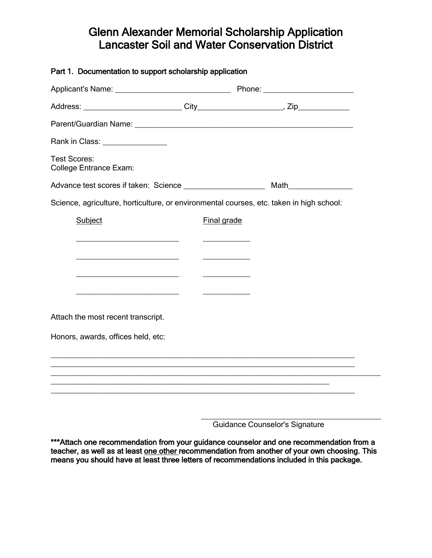# Glenn Alexander Memorial Scholarship Application Lancaster Soil and Water Conservation District

| Part 1. Documentation to support scholarship application                                                              |             |  |
|-----------------------------------------------------------------------------------------------------------------------|-------------|--|
|                                                                                                                       |             |  |
|                                                                                                                       |             |  |
|                                                                                                                       |             |  |
| Rank in Class: ________________                                                                                       |             |  |
| <b>Test Scores:</b><br><b>College Entrance Exam:</b>                                                                  |             |  |
| Advance test scores if taken: Science _____________________                                                           |             |  |
| Science, agriculture, horticulture, or environmental courses, etc. taken in high school:                              |             |  |
| Subject                                                                                                               | Final grade |  |
| <u> 1989 - Johann Barbara, martin amerikan basar dan berasal dalam basar dalam basar dalam basar dalam basar dala</u> |             |  |
| <u> 1989 - Johann Barbara, martin amerikan basal dan berasal dan berasal dalam basal dalam basal dalam basal dala</u> |             |  |
| <u> 1989 - Johann Barbara, martxa al III-lea (h. 1976).</u>                                                           |             |  |
| <u> 1980 - Andrea Aonaich, ann an t-Aonaich an t-Aonaich an t-Aonaich an t-Aonaich ann an t-Aonaich ann an t-Aon</u>  |             |  |
| Attach the most recent transcript.                                                                                    |             |  |
| Honors, awards, offices held, etc:                                                                                    |             |  |
|                                                                                                                       |             |  |
|                                                                                                                       |             |  |
|                                                                                                                       |             |  |
|                                                                                                                       |             |  |
|                                                                                                                       |             |  |

Guidance Counselor's Signature

\*\*\*Attach one recommendation from your guidance counselor and one recommendation from a teacher, as well as at least one other recommendation from another of your own choosing. This means you should have at least three letters of recommendations included in this package.